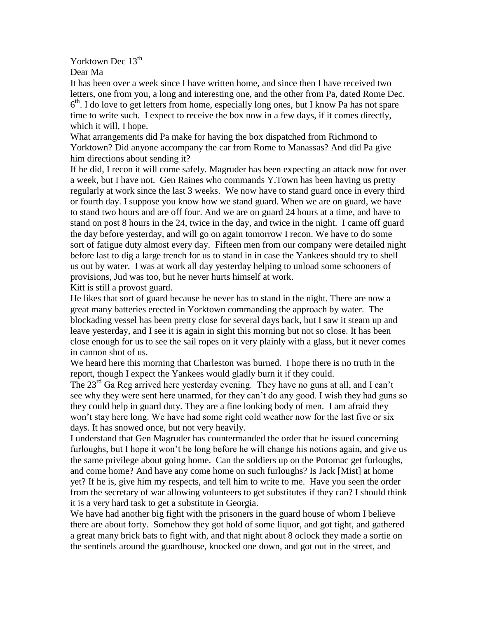Yorktown Dec 13<sup>th</sup>

Dear Ma

It has been over a week since I have written home, and since then I have received two letters, one from you, a long and interesting one, and the other from Pa, dated Rome Dec. 6<sup>th</sup>. I do love to get letters from home, especially long ones, but I know Pa has not spare time to write such. I expect to receive the box now in a few days, if it comes directly, which it will, I hope.

What arrangements did Pa make for having the box dispatched from Richmond to Yorktown? Did anyone accompany the car from Rome to Manassas? And did Pa give him directions about sending it?

If he did, I recon it will come safely. Magruder has been expecting an attack now for over a week, but I have not. Gen Raines who commands Y.Town has been having us pretty regularly at work since the last 3 weeks. We now have to stand guard once in every third or fourth day. I suppose you know how we stand guard. When we are on guard, we have to stand two hours and are off four. And we are on guard 24 hours at a time, and have to stand on post 8 hours in the 24, twice in the day, and twice in the night. I came off guard the day before yesterday, and will go on again tomorrow I recon. We have to do some sort of fatigue duty almost every day. Fifteen men from our company were detailed night before last to dig a large trench for us to stand in in case the Yankees should try to shell us out by water. I was at work all day yesterday helping to unload some schooners of provisions, Jud was too, but he never hurts himself at work.

Kitt is still a provost guard.

He likes that sort of guard because he never has to stand in the night. There are now a great many batteries erected in Yorktown commanding the approach by water. The blockading vessel has been pretty close for several days back, but I saw it steam up and leave yesterday, and I see it is again in sight this morning but not so close. It has been close enough for us to see the sail ropes on it very plainly with a glass, but it never comes in cannon shot of us.

We heard here this morning that Charleston was burned. I hope there is no truth in the report, though I expect the Yankees would gladly burn it if they could.

The  $23<sup>rd</sup>$  Ga Reg arrived here vesterday evening. They have no guns at all, and I can't see why they were sent here unarmed, for they can't do any good. I wish they had guns so they could help in guard duty. They are a fine looking body of men. I am afraid they won't stay here long. We have had some right cold weather now for the last five or six days. It has snowed once, but not very heavily.

I understand that Gen Magruder has countermanded the order that he issued concerning furloughs, but I hope it won't be long before he will change his notions again, and give us the same privilege about going home. Can the soldiers up on the Potomac get furloughs, and come home? And have any come home on such furloughs? Is Jack [Mist] at home yet? If he is, give him my respects, and tell him to write to me. Have you seen the order from the secretary of war allowing volunteers to get substitutes if they can? I should think it is a very hard task to get a substitute in Georgia.

We have had another big fight with the prisoners in the guard house of whom I believe there are about forty. Somehow they got hold of some liquor, and got tight, and gathered a great many brick bats to fight with, and that night about 8 oclock they made a sortie on the sentinels around the guardhouse, knocked one down, and got out in the street, and